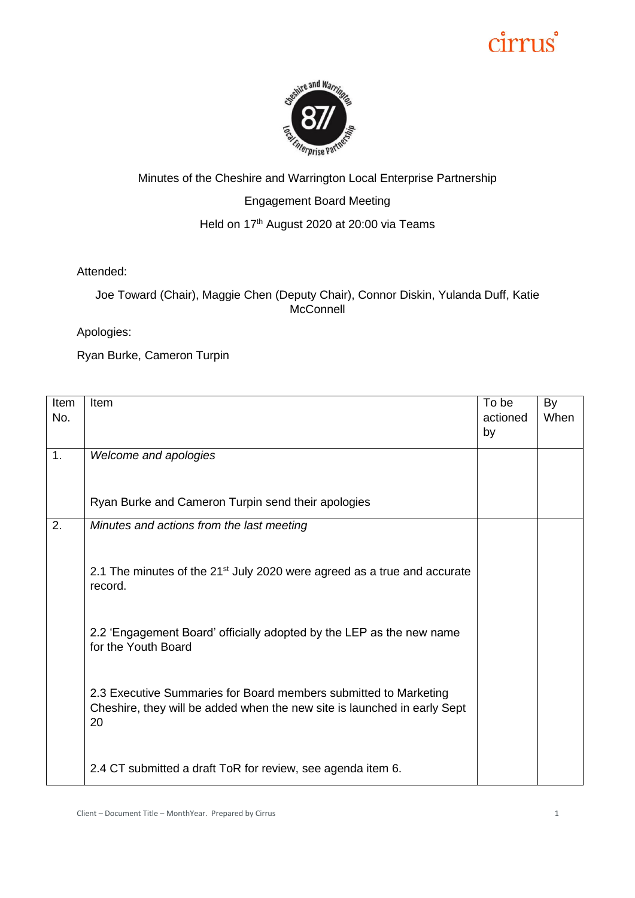# cirrus



#### Minutes of the Cheshire and Warrington Local Enterprise Partnership Engagement Board Meeting Held on 17<sup>th</sup> August 2020 at 20:00 via Teams

Attended:

Joe Toward (Chair), Maggie Chen (Deputy Chair), Connor Diskin, Yulanda Duff, Katie **McConnell** 

Apologies:

Ryan Burke, Cameron Turpin

| Item<br>No. | Item                                                                                                                                               | To be<br>actioned<br>by | By<br>When |
|-------------|----------------------------------------------------------------------------------------------------------------------------------------------------|-------------------------|------------|
| 1.          | Welcome and apologies                                                                                                                              |                         |            |
|             | Ryan Burke and Cameron Turpin send their apologies                                                                                                 |                         |            |
| 2.          | Minutes and actions from the last meeting                                                                                                          |                         |            |
|             | 2.1 The minutes of the 21 <sup>st</sup> July 2020 were agreed as a true and accurate<br>record.                                                    |                         |            |
|             | 2.2 'Engagement Board' officially adopted by the LEP as the new name<br>for the Youth Board                                                        |                         |            |
|             | 2.3 Executive Summaries for Board members submitted to Marketing<br>Cheshire, they will be added when the new site is launched in early Sept<br>20 |                         |            |
|             | 2.4 CT submitted a draft ToR for review, see agenda item 6.                                                                                        |                         |            |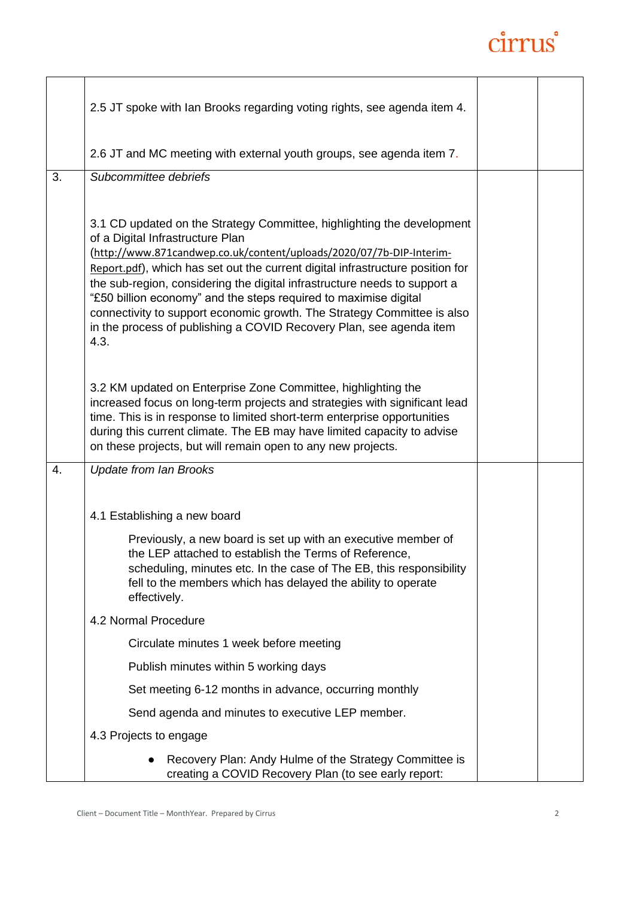## cirrus

|    | 2.5 JT spoke with Ian Brooks regarding voting rights, see agenda item 4.                                                                                                                                                                                                                                                                                                                                                                                          |  |
|----|-------------------------------------------------------------------------------------------------------------------------------------------------------------------------------------------------------------------------------------------------------------------------------------------------------------------------------------------------------------------------------------------------------------------------------------------------------------------|--|
|    | 2.6 JT and MC meeting with external youth groups, see agenda item 7.                                                                                                                                                                                                                                                                                                                                                                                              |  |
| 3. | Subcommittee debriefs<br>3.1 CD updated on the Strategy Committee, highlighting the development<br>of a Digital Infrastructure Plan                                                                                                                                                                                                                                                                                                                               |  |
|    | (http://www.871candwep.co.uk/content/uploads/2020/07/7b-DIP-Interim-<br>Report.pdf), which has set out the current digital infrastructure position for<br>the sub-region, considering the digital infrastructure needs to support a<br>"£50 billion economy" and the steps required to maximise digital<br>connectivity to support economic growth. The Strategy Committee is also<br>in the process of publishing a COVID Recovery Plan, see agenda item<br>4.3. |  |
|    | 3.2 KM updated on Enterprise Zone Committee, highlighting the<br>increased focus on long-term projects and strategies with significant lead<br>time. This is in response to limited short-term enterprise opportunities<br>during this current climate. The EB may have limited capacity to advise<br>on these projects, but will remain open to any new projects.                                                                                                |  |
| 4. | <b>Update from Ian Brooks</b>                                                                                                                                                                                                                                                                                                                                                                                                                                     |  |
|    | 4.1 Establishing a new board<br>Previously, a new board is set up with an executive member of<br>the LEP attached to establish the Terms of Reference,<br>scheduling, minutes etc. In the case of The EB, this responsibility<br>fell to the members which has delayed the ability to operate<br>effectively.                                                                                                                                                     |  |
|    | 4.2 Normal Procedure                                                                                                                                                                                                                                                                                                                                                                                                                                              |  |
|    | Circulate minutes 1 week before meeting                                                                                                                                                                                                                                                                                                                                                                                                                           |  |
|    | Publish minutes within 5 working days                                                                                                                                                                                                                                                                                                                                                                                                                             |  |
|    | Set meeting 6-12 months in advance, occurring monthly                                                                                                                                                                                                                                                                                                                                                                                                             |  |
|    | Send agenda and minutes to executive LEP member.                                                                                                                                                                                                                                                                                                                                                                                                                  |  |
|    | 4.3 Projects to engage                                                                                                                                                                                                                                                                                                                                                                                                                                            |  |
|    | Recovery Plan: Andy Hulme of the Strategy Committee is<br>creating a COVID Recovery Plan (to see early report:                                                                                                                                                                                                                                                                                                                                                    |  |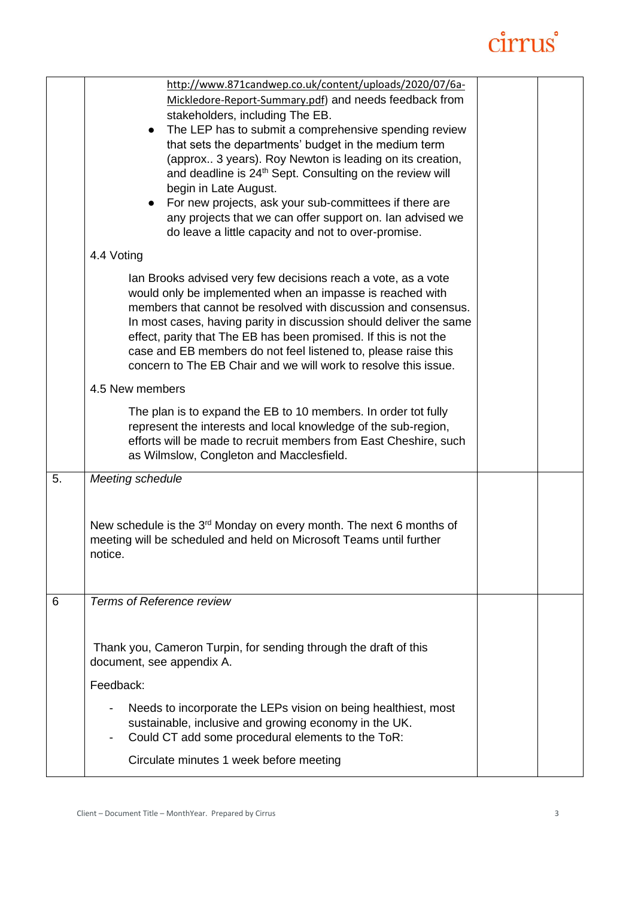## cirrus

|    | http://www.871candwep.co.uk/content/uploads/2020/07/6a-<br>Mickledore-Report-Summary.pdf) and needs feedback from<br>stakeholders, including The EB.<br>The LEP has to submit a comprehensive spending review<br>$\bullet$<br>that sets the departments' budget in the medium term<br>(approx 3 years). Roy Newton is leading on its creation,<br>and deadline is 24 <sup>th</sup> Sept. Consulting on the review will<br>begin in Late August.<br>For new projects, ask your sub-committees if there are<br>$\bullet$<br>any projects that we can offer support on. Ian advised we<br>do leave a little capacity and not to over-promise. |  |
|----|--------------------------------------------------------------------------------------------------------------------------------------------------------------------------------------------------------------------------------------------------------------------------------------------------------------------------------------------------------------------------------------------------------------------------------------------------------------------------------------------------------------------------------------------------------------------------------------------------------------------------------------------|--|
|    | 4.4 Voting                                                                                                                                                                                                                                                                                                                                                                                                                                                                                                                                                                                                                                 |  |
|    | Ian Brooks advised very few decisions reach a vote, as a vote<br>would only be implemented when an impasse is reached with<br>members that cannot be resolved with discussion and consensus.<br>In most cases, having parity in discussion should deliver the same<br>effect, parity that The EB has been promised. If this is not the<br>case and EB members do not feel listened to, please raise this<br>concern to The EB Chair and we will work to resolve this issue.                                                                                                                                                                |  |
|    | 4.5 New members                                                                                                                                                                                                                                                                                                                                                                                                                                                                                                                                                                                                                            |  |
|    | The plan is to expand the EB to 10 members. In order tot fully<br>represent the interests and local knowledge of the sub-region,<br>efforts will be made to recruit members from East Cheshire, such<br>as Wilmslow, Congleton and Macclesfield.                                                                                                                                                                                                                                                                                                                                                                                           |  |
| 5. | Meeting schedule                                                                                                                                                                                                                                                                                                                                                                                                                                                                                                                                                                                                                           |  |
|    | New schedule is the 3 <sup>rd</sup> Monday on every month. The next 6 months of<br>meeting will be scheduled and held on Microsoft Teams until further<br>notice.                                                                                                                                                                                                                                                                                                                                                                                                                                                                          |  |
| 6  | Terms of Reference review                                                                                                                                                                                                                                                                                                                                                                                                                                                                                                                                                                                                                  |  |
|    | Thank you, Cameron Turpin, for sending through the draft of this<br>document, see appendix A.<br>Feedback:<br>Needs to incorporate the LEPs vision on being healthiest, most<br>sustainable, inclusive and growing economy in the UK.<br>Could CT add some procedural elements to the ToR:                                                                                                                                                                                                                                                                                                                                                 |  |
|    | Circulate minutes 1 week before meeting                                                                                                                                                                                                                                                                                                                                                                                                                                                                                                                                                                                                    |  |